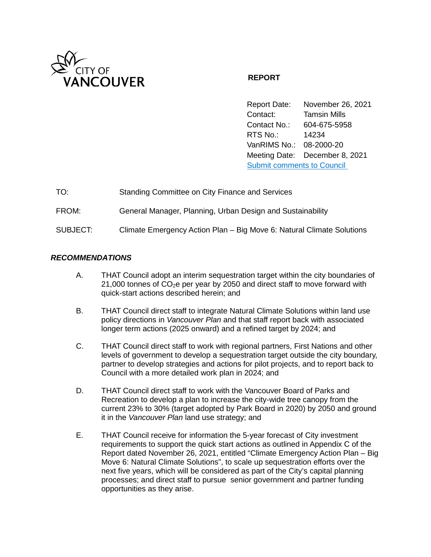

## **REPORT**

Report Date: November 26, 2021 Contact: Tamsin Mills Contact No.: 604-675-5958 RTS No.: 14234 VanRIMS No.: 08-2000-20 Meeting Date: December 8, 2021 [Submit comments to Council](https://vancouver.ca/your-government/contact-council.aspx) 

| TO:      | Standing Committee on City Finance and Services                       |
|----------|-----------------------------------------------------------------------|
| FROM:    | General Manager, Planning, Urban Design and Sustainability            |
| SUBJECT: | Climate Emergency Action Plan – Big Move 6: Natural Climate Solutions |

### *RECOMMENDATIONS*

- A. THAT Council adopt an interim sequestration target within the city boundaries of 21,000 tonnes of  $CO<sub>2</sub>e$  per year by 2050 and direct staff to move forward with quick-start actions described herein; and
- B. THAT Council direct staff to integrate Natural Climate Solutions within land use policy directions in *Vancouver Plan* and that staff report back with associated longer term actions (2025 onward) and a refined target by 2024; and
- C. THAT Council direct staff to work with regional partners, First Nations and other levels of government to develop a sequestration target outside the city boundary, partner to develop strategies and actions for pilot projects, and to report back to Council with a more detailed work plan in 2024; and
- D. THAT Council direct staff to work with the Vancouver Board of Parks and Recreation to develop a plan to increase the city-wide tree canopy from the current 23% to 30% (target adopted by Park Board in 2020) by 2050 and ground it in the *Vancouver Plan* land use strategy; and
- E. THAT Council receive for information the 5-year forecast of City investment requirements to support the quick start actions as outlined in Appendix C of the Report dated November 26, 2021, entitled "Climate Emergency Action Plan – Big Move 6: Natural Climate Solutions", to scale up sequestration efforts over the next five years, which will be considered as part of the City's capital planning processes; and direct staff to pursue senior government and partner funding opportunities as they arise.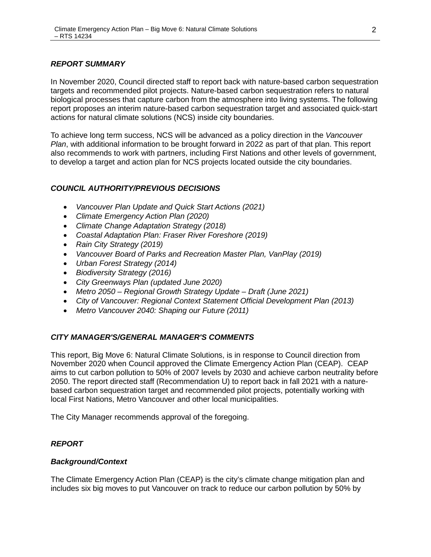### *REPORT SUMMARY*

In November 2020, Council directed staff to report back with nature-based carbon sequestration targets and recommended pilot projects. Nature-based carbon sequestration refers to natural biological processes that capture carbon from the atmosphere into living systems. The following report proposes an interim nature-based carbon sequestration target and associated quick-start actions for natural climate solutions (NCS) inside city boundaries.

To achieve long term success, NCS will be advanced as a policy direction in the *Vancouver Plan*, with additional information to be brought forward in 2022 as part of that plan. This report also recommends to work with partners, including First Nations and other levels of government, to develop a target and action plan for NCS projects located outside the city boundaries.

### *COUNCIL AUTHORITY/PREVIOUS DECISIONS*

- *Vancouver Plan Update and Quick Start Actions (2021)*
- *Climate Emergency Action Plan (2020)*
- *Climate Change Adaptation Strategy (2018)*
- *Coastal Adaptation Plan: Fraser River Foreshore (2019)*
- *Rain City Strategy (2019)*
- *Vancouver Board of Parks and Recreation Master Plan, VanPlay (2019)*
- *Urban Forest Strategy (2014)*
- *Biodiversity Strategy (2016)*
- *City Greenways Plan (updated June 2020)*
- *Metro 2050 Regional Growth Strategy Update Draft (June 2021)*
- *City of Vancouver: Regional Context Statement Official Development Plan (2013)*
- *Metro Vancouver 2040: Shaping our Future (2011)*

### *CITY MANAGER'S/GENERAL MANAGER'S COMMENTS*

This report, Big Move 6: Natural Climate Solutions, is in response to Council direction from November 2020 when Council approved the Climate Emergency Action Plan (CEAP). CEAP aims to cut carbon pollution to 50% of 2007 levels by 2030 and achieve carbon neutrality before 2050. The report directed staff (Recommendation U) to report back in fall 2021 with a naturebased carbon sequestration target and recommended pilot projects, potentially working with local First Nations, Metro Vancouver and other local municipalities.

The City Manager recommends approval of the foregoing.

### *REPORT*

### *Background/Context*

The Climate Emergency Action Plan (CEAP) is the city's climate change mitigation plan and includes six big moves to put Vancouver on track to reduce our carbon pollution by 50% by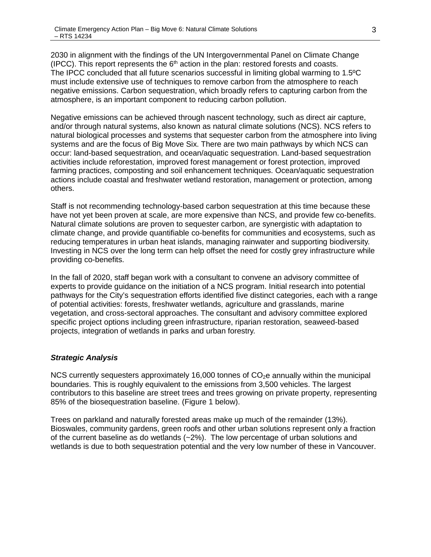2030 in alignment with the findings of the UN Intergovernmental Panel on Climate Change (IPCC). This report represents the  $6<sup>th</sup>$  action in the plan: restored forests and coasts. The IPCC concluded that all future scenarios successful in limiting global warming to 1.5ºC must include extensive use of techniques to remove carbon from the atmosphere to reach negative emissions. Carbon sequestration, which broadly refers to capturing carbon from the atmosphere, is an important component to reducing carbon pollution.

Negative emissions can be achieved through nascent technology, such as direct air capture, and/or through natural systems, also known as natural climate solutions (NCS). NCS refers to natural biological processes and systems that sequester carbon from the atmosphere into living systems and are the focus of Big Move Six. There are two main pathways by which NCS can occur: land-based sequestration, and ocean/aquatic sequestration. Land-based sequestration activities include reforestation, improved forest management or forest protection, improved farming practices, composting and soil enhancement techniques. Ocean/aquatic sequestration actions include coastal and freshwater wetland restoration, management or protection, among others.

Staff is not recommending technology-based carbon sequestration at this time because these have not yet been proven at scale, are more expensive than NCS, and provide few co-benefits. Natural climate solutions are proven to sequester carbon, are synergistic with adaptation to climate change, and provide quantifiable co-benefits for communities and ecosystems, such as reducing temperatures in urban heat islands, managing rainwater and supporting biodiversity. Investing in NCS over the long term can help offset the need for costly grey infrastructure while providing co-benefits.

In the fall of 2020, staff began work with a consultant to convene an advisory committee of experts to provide guidance on the initiation of a NCS program. Initial research into potential pathways for the City's sequestration efforts identified five distinct categories, each with a range of potential activities: forests, freshwater wetlands, agriculture and grasslands, marine vegetation, and cross-sectoral approaches. The consultant and advisory committee explored specific project options including green infrastructure, riparian restoration, seaweed-based projects, integration of wetlands in parks and urban forestry.

## *Strategic Analysis*

NCS currently sequesters approximately 16,000 tonnes of  $CO<sub>2</sub>e$  annually within the municipal boundaries. This is roughly equivalent to the emissions from 3,500 vehicles. The largest contributors to this baseline are street trees and trees growing on private property, representing 85% of the biosequestration baseline. (Figure 1 below).

Trees on parkland and naturally forested areas make up much of the remainder (13%). Bioswales, community gardens, green roofs and other urban solutions represent only a fraction of the current baseline as do wetlands (~2%). The low percentage of urban solutions and wetlands is due to both sequestration potential and the very low number of these in Vancouver.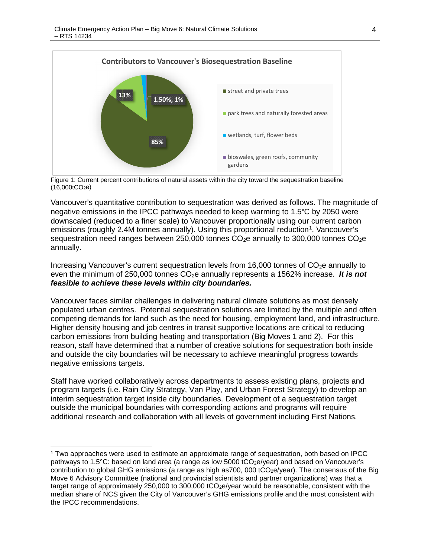

Figure 1: Current percent contributions of natural assets within the city toward the sequestration baseline  $(16,000tCO<sub>2</sub>e)$ 

Vancouver's quantitative contribution to sequestration was derived as follows. The magnitude of negative emissions in the IPCC pathways needed to keep warming to 1.5°C by 2050 were downscaled (reduced to a finer scale) to Vancouver proportionally using our current carbon emissions (roughly 2.4M tonnes annually). Using this proportional reduction<sup>1</sup>, Vancouver's sequestration need ranges between 250,000 tonnes  $CO<sub>2</sub>e$  annually to 300,000 tonnes  $CO<sub>2</sub>e$ annually.

Increasing Vancouver's current sequestration levels from 16,000 tonnes of  $CO<sub>2</sub>e$  annually to even the minimum of 250,000 tonnes CO<sub>2</sub>e annually represents a 1562% increase. *It is not feasible to achieve these levels within city boundaries.*

Vancouver faces similar challenges in delivering natural climate solutions as most densely populated urban centres. Potential sequestration solutions are limited by the multiple and often competing demands for land such as the need for housing, employment land, and infrastructure. Higher density housing and job centres in transit supportive locations are critical to reducing carbon emissions from building heating and transportation (Big Moves 1 and 2). For this reason, staff have determined that a number of creative solutions for sequestration both inside and outside the city boundaries will be necessary to achieve meaningful progress towards negative emissions targets.

Staff have worked collaboratively across departments to assess existing plans, projects and program targets (i.e. Rain City Strategy, Van Play, and Urban Forest Strategy) to develop an interim sequestration target inside city boundaries. Development of a sequestration target outside the municipal boundaries with corresponding actions and programs will require additional research and collaboration with all levels of government including First Nations.

 <sup>1</sup> Two approaches were used to estimate an approximate range of sequestration, both based on IPCC pathways to 1.5°C: based on land area (a range as low 5000 tCO2e/year) and based on Vancouver's contribution to global GHG emissions (a range as high as700, 000 tCO<sub>2</sub>e/year). The consensus of the Big Move 6 Advisory Committee (national and provincial scientists and partner organizations) was that a target range of approximately 250,000 to 300,000 tCO<sub>2</sub>e/year would be reasonable, consistent with the median share of NCS given the City of Vancouver's GHG emissions profile and the most consistent with the IPCC recommendations.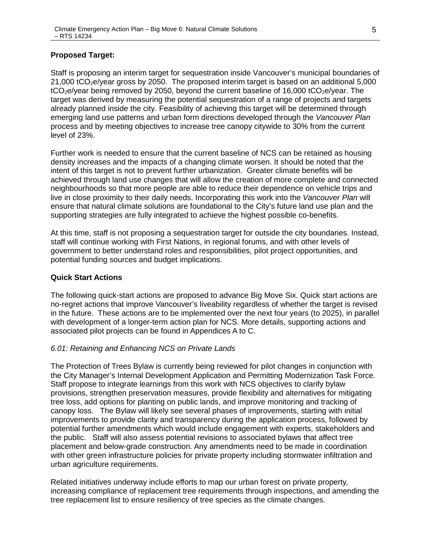### **Proposed Target:**

Staff is proposing an interim target for sequestration inside Vancouver's municipal boundaries of  $21,000$  tCO<sub>2</sub>e/year gross by 2050. The proposed interim target is based on an additional 5,000  $tCO<sub>2</sub>e/year$  being removed by 2050, beyond the current baseline of 16,000  $tCO<sub>2</sub>e/year$ . The target was derived by measuring the potential sequestration of a range of projects and targets already planned inside the city. Feasibility of achieving this target will be determined through emerging land use patterns and urban form directions developed through the *Vancouver Plan* process and by meeting objectives to increase tree canopy citywide to 30% from the current level of 23%.

Further work is needed to ensure that the current baseline of NCS can be retained as housing density increases and the impacts of a changing climate worsen. It should be noted that the intent of this target is not to prevent further urbanization. Greater climate benefits will be achieved through land use changes that will allow the creation of more complete and connected neighbourhoods so that more people are able to reduce their dependence on vehicle trips and live in close proximity to their daily needs. Incorporating this work into the *Vancouver Plan* will ensure that natural climate solutions are foundational to the City's future land use plan and the supporting strategies are fully integrated to achieve the highest possible co-benefits.

At this time, staff is not proposing a sequestration target for outside the city boundaries. Instead, staff will continue working with First Nations, in regional forums, and with other levels of government to better understand roles and responsibilities, pilot project opportunities, and potential funding sources and budget implications.

#### **Quick Start Actions**

The following quick-start actions are proposed to advance Big Move Six. Quick start actions are no-regret actions that improve Vancouver's liveability regardless of whether the target is revised in the future. These actions are to be implemented over the next four years (to 2025), in parallel with development of a longer-term action plan for NCS. More details, supporting actions and associated pilot projects can be found in Appendices A to C.

#### *6.01: Retaining and Enhancing NCS on Private Lands*

The Protection of Trees Bylaw is currently being reviewed for pilot changes in conjunction with the City Manager's Internal Development Application and Permitting Modernization Task Force. Staff propose to integrate learnings from this work with NCS objectives to clarify bylaw provisions, strengthen preservation measures, provide flexibility and alternatives for mitigating tree loss, add options for planting on public lands, and improve monitoring and tracking of canopy loss. The Bylaw will likely see several phases of improvements, starting with initial improvements to provide clarity and transparency during the application process, followed by potential further amendments which would include engagement with experts, stakeholders and the public. Staff will also assess potential revisions to associated bylaws that affect tree placement and below-grade construction. Any amendments need to be made in coordination with other green infrastructure policies for private property including stormwater infiltration and urban agriculture requirements.

Related initiatives underway include efforts to map our urban forest on private property, increasing compliance of replacement tree requirements through inspections, and amending the tree replacement list to ensure resiliency of tree species as the climate changes.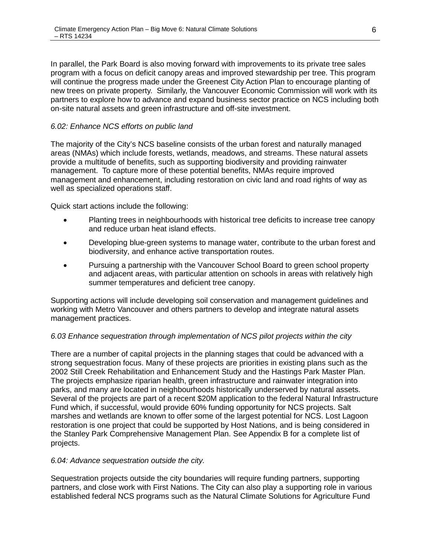In parallel, the Park Board is also moving forward with improvements to its private tree sales program with a focus on deficit canopy areas and improved stewardship per tree. This program will continue the progress made under the Greenest City Action Plan to encourage planting of new trees on private property. Similarly, the Vancouver Economic Commission will work with its partners to explore how to advance and expand business sector practice on NCS including both on-site natural assets and green infrastructure and off-site investment.

### *6.02: Enhance NCS efforts on public land*

The majority of the City's NCS baseline consists of the urban forest and naturally managed areas (NMAs) which include forests, wetlands, meadows, and streams. These natural assets provide a multitude of benefits, such as supporting biodiversity and providing rainwater management. To capture more of these potential benefits, NMAs require improved management and enhancement, including restoration on civic land and road rights of way as well as specialized operations staff.

Quick start actions include the following:

- Planting trees in neighbourhoods with historical tree deficits to increase tree canopy and reduce urban heat island effects.
- Developing blue-green systems to manage water, contribute to the urban forest and biodiversity, and enhance active transportation routes.
- Pursuing a partnership with the Vancouver School Board to green school property and adjacent areas, with particular attention on schools in areas with relatively high summer temperatures and deficient tree canopy.

Supporting actions will include developing soil conservation and management guidelines and working with Metro Vancouver and others partners to develop and integrate natural assets management practices.

### *6.03 Enhance sequestration through implementation of NCS pilot projects within the city*

There are a number of capital projects in the planning stages that could be advanced with a strong sequestration focus. Many of these projects are priorities in existing plans such as the 2002 Still Creek Rehabilitation and Enhancement Study and the Hastings Park Master Plan. The projects emphasize riparian health, green infrastructure and rainwater integration into parks, and many are located in neighbourhoods historically underserved by natural assets. Several of the projects are part of a recent \$20M application to the federal Natural Infrastructure Fund which, if successful, would provide 60% funding opportunity for NCS projects. Salt marshes and wetlands are known to offer some of the largest potential for NCS. Lost Lagoon restoration is one project that could be supported by Host Nations, and is being considered in the Stanley Park Comprehensive Management Plan. See Appendix B for a complete list of projects.

### *6.04: Advance sequestration outside the city.*

Sequestration projects outside the city boundaries will require funding partners, supporting partners, and close work with First Nations. The City can also play a supporting role in various established federal NCS programs such as the Natural Climate Solutions for Agriculture Fund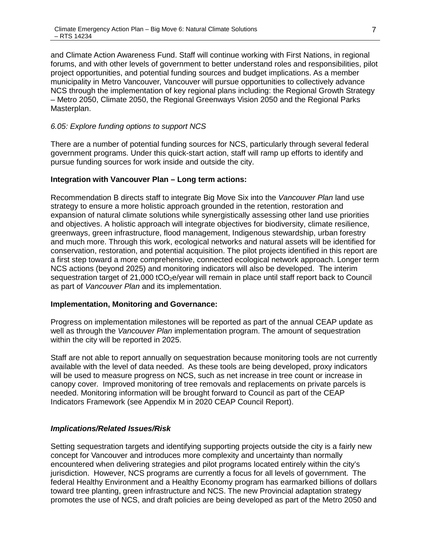and Climate Action Awareness Fund. Staff will continue working with First Nations, in regional forums, and with other levels of government to better understand roles and responsibilities, pilot project opportunities, and potential funding sources and budget implications. As a member municipality in Metro Vancouver, Vancouver will pursue opportunities to collectively advance NCS through the implementation of key regional plans including: the Regional Growth Strategy – Metro 2050, Climate 2050, the Regional Greenways Vision 2050 and the Regional Parks Masterplan.

#### *6.05: Explore funding options to support NCS*

There are a number of potential funding sources for NCS, particularly through several federal government programs. Under this quick-start action, staff will ramp up efforts to identify and pursue funding sources for work inside and outside the city.

#### **Integration with Vancouver Plan – Long term actions:**

Recommendation B directs staff to integrate Big Move Six into the *Vancouver Plan* land use strategy to ensure a more holistic approach grounded in the retention, restoration and expansion of natural climate solutions while synergistically assessing other land use priorities and objectives. A holistic approach will integrate objectives for biodiversity, climate resilience, greenways, green infrastructure, flood management, Indigenous stewardship, urban forestry and much more. Through this work, ecological networks and natural assets will be identified for conservation, restoration, and potential acquisition. The pilot projects identified in this report are a first step toward a more comprehensive, connected ecological network approach. Longer term NCS actions (beyond 2025) and monitoring indicators will also be developed. The interim sequestration target of  $21,000$  tCO<sub>2</sub>e/year will remain in place until staff report back to Council as part of *Vancouver Plan* and its implementation.

#### **Implementation, Monitoring and Governance:**

Progress on implementation milestones will be reported as part of the annual CEAP update as well as through the *Vancouver Plan* implementation program. The amount of sequestration within the city will be reported in 2025.

Staff are not able to report annually on sequestration because monitoring tools are not currently available with the level of data needed. As these tools are being developed, proxy indicators will be used to measure progress on NCS, such as net increase in tree count or increase in canopy cover. Improved monitoring of tree removals and replacements on private parcels is needed. Monitoring information will be brought forward to Council as part of the CEAP Indicators Framework (see Appendix M in 2020 CEAP Council Report).

### *Implications/Related Issues/Risk*

Setting sequestration targets and identifying supporting projects outside the city is a fairly new concept for Vancouver and introduces more complexity and uncertainty than normally encountered when delivering strategies and pilot programs located entirely within the city's jurisdiction. However, NCS programs are currently a focus for all levels of government. The federal Healthy Environment and a Healthy Economy program has earmarked billions of dollars toward tree planting, green infrastructure and NCS. The new Provincial adaptation strategy promotes the use of NCS, and draft policies are being developed as part of the Metro 2050 and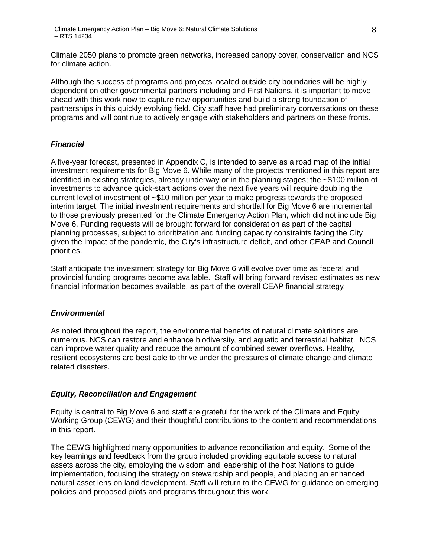Climate 2050 plans to promote green networks, increased canopy cover, conservation and NCS for climate action.

Although the success of programs and projects located outside city boundaries will be highly dependent on other governmental partners including and First Nations, it is important to move ahead with this work now to capture new opportunities and build a strong foundation of partnerships in this quickly evolving field. City staff have had preliminary conversations on these programs and will continue to actively engage with stakeholders and partners on these fronts.

### *Financial*

A five-year forecast, presented in Appendix C, is intended to serve as a road map of the initial investment requirements for Big Move 6. While many of the projects mentioned in this report are identified in existing strategies, already underway or in the planning stages; the ~\$100 million of investments to advance quick-start actions over the next five years will require doubling the current level of investment of ~\$10 million per year to make progress towards the proposed interim target. The initial investment requirements and shortfall for Big Move 6 are incremental to those previously presented for the Climate Emergency Action Plan, which did not include Big Move 6. Funding requests will be brought forward for consideration as part of the capital planning processes, subject to prioritization and funding capacity constraints facing the City given the impact of the pandemic, the City's infrastructure deficit, and other CEAP and Council priorities.

Staff anticipate the investment strategy for Big Move 6 will evolve over time as federal and provincial funding programs become available. Staff will bring forward revised estimates as new financial information becomes available, as part of the overall CEAP financial strategy.

## *Environmental*

As noted throughout the report, the environmental benefits of natural climate solutions are numerous. NCS can restore and enhance biodiversity, and aquatic and terrestrial habitat. NCS can improve water quality and reduce the amount of combined sewer overflows. Healthy, resilient ecosystems are best able to thrive under the pressures of climate change and climate related disasters.

## *Equity, Reconciliation and Engagement*

Equity is central to Big Move 6 and staff are grateful for the work of the Climate and Equity Working Group (CEWG) and their thoughtful contributions to the content and recommendations in this report.

The CEWG highlighted many opportunities to advance reconciliation and equity. Some of the key learnings and feedback from the group included providing equitable access to natural assets across the city, employing the wisdom and leadership of the host Nations to guide implementation, focusing the strategy on stewardship and people, and placing an enhanced natural asset lens on land development. Staff will return to the CEWG for guidance on emerging policies and proposed pilots and programs throughout this work.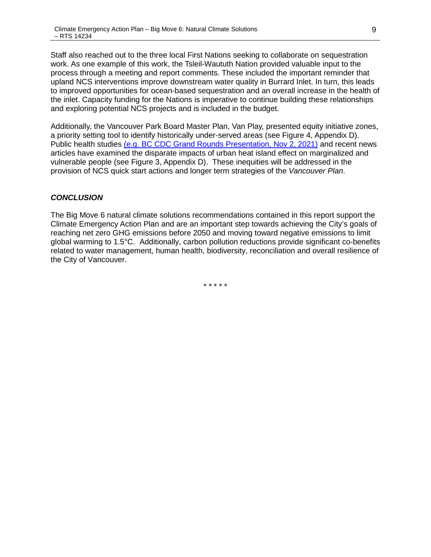Staff also reached out to the three local First Nations seeking to collaborate on sequestration work. As one example of this work, the Tsleil-Waututh Nation provided valuable input to the process through a meeting and report comments. These included the important reminder that upland NCS interventions improve downstream water quality in Burrard Inlet. In turn, this leads to improved opportunities for ocean-based sequestration and an overall increase in the health of the inlet. Capacity funding for the Nations is imperative to continue building these relationships and exploring potential NCS projects and is included in the budget.

Additionally, the Vancouver Park Board Master Plan, Van Play, presented equity initiative zones, a priority setting tool to identify historically under-served areas (see Figure 4, Appendix D). Public health studies [\(e.g. BC CDC Grand Rounds Presentation, Nov 2, 2021\)](https://urldefense.com/v3/__https:/nexuswebcast.mediasite.com/Mediasite/Showcase/bc-cdc-showcase/Presentation/896ca6fb39e246ab801c0526867b73741d__;!!G4oVokrRG-Im!7kXesbXJLIfegppO0ZeC8bTNv9frW5hER527XjgNJUQWOtcNk-FphBywRL1K54qV5ny-SMOgdXPA$) and recent news articles have examined the disparate impacts of urban heat island effect on marginalized and vulnerable people (see Figure 3, Appendix D). These inequities will be addressed in the provision of NCS quick start actions and longer term strategies of the *Vancouver Plan*.

### *CONCLUSION*

The Big Move 6 natural climate solutions recommendations contained in this report support the Climate Emergency Action Plan and are an important step towards achieving the City's goals of reaching net zero GHG emissions before 2050 and moving toward negative emissions to limit global warming to 1.5°C. Additionally, carbon pollution reductions provide significant co-benefits related to water management, human health, biodiversity, reconciliation and overall resilience of the City of Vancouver.

\* \* \* \* \*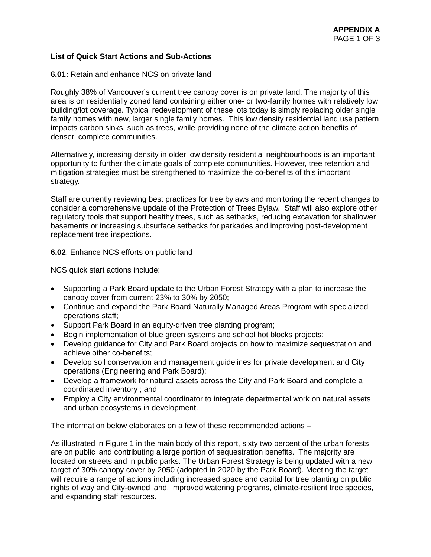### **List of Quick Start Actions and Sub-Actions**

#### **6.01:** Retain and enhance NCS on private land

Roughly 38% of Vancouver's current tree canopy cover is on private land. The majority of this area is on residentially zoned land containing either one- or two-family homes with relatively low building/lot coverage. Typical redevelopment of these lots today is simply replacing older single family homes with new, larger single family homes. This low density residential land use pattern impacts carbon sinks, such as trees, while providing none of the climate action benefits of denser, complete communities.

Alternatively, increasing density in older low density residential neighbourhoods is an important opportunity to further the climate goals of complete communities. However, tree retention and mitigation strategies must be strengthened to maximize the co-benefits of this important strategy.

Staff are currently reviewing best practices for tree bylaws and monitoring the recent changes to consider a comprehensive update of the Protection of Trees Bylaw. Staff will also explore other regulatory tools that support healthy trees, such as setbacks, reducing excavation for shallower basements or increasing subsurface setbacks for parkades and improving post-development replacement tree inspections.

**6.02**: Enhance NCS efforts on public land

NCS quick start actions include:

- Supporting a Park Board update to the Urban Forest Strategy with a plan to increase the canopy cover from current 23% to 30% by 2050;
- Continue and expand the Park Board Naturally Managed Areas Program with specialized operations staff;
- Support Park Board in an equity-driven tree planting program;
- Begin implementation of blue green systems and school hot blocks projects;
- Develop guidance for City and Park Board projects on how to maximize sequestration and achieve other co-benefits;
- Develop soil conservation and management guidelines for private development and City operations (Engineering and Park Board);
- Develop a framework for natural assets across the City and Park Board and complete a coordinated inventory ; and
- Employ a City environmental coordinator to integrate departmental work on natural assets and urban ecosystems in development.

The information below elaborates on a few of these recommended actions –

As illustrated in Figure 1 in the main body of this report, sixty two percent of the urban forests are on public land contributing a large portion of sequestration benefits. The majority are located on streets and in public parks. The Urban Forest Strategy is being updated with a new target of 30% canopy cover by 2050 (adopted in 2020 by the Park Board). Meeting the target will require a range of actions including increased space and capital for tree planting on public rights of way and City-owned land, improved watering programs, climate-resilient tree species, and expanding staff resources.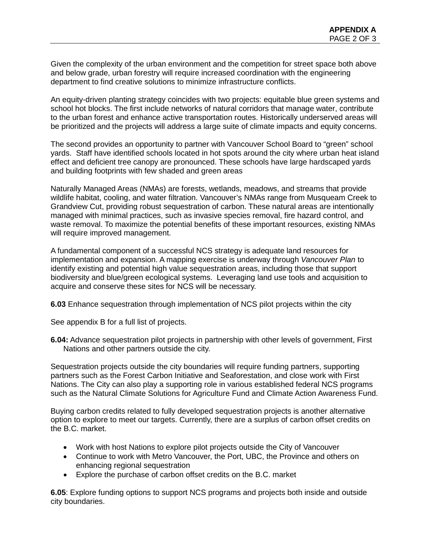Given the complexity of the urban environment and the competition for street space both above and below grade, urban forestry will require increased coordination with the engineering department to find creative solutions to minimize infrastructure conflicts.

An equity-driven planting strategy coincides with two projects: equitable blue green systems and school hot blocks. The first include networks of natural corridors that manage water, contribute to the urban forest and enhance active transportation routes. Historically underserved areas will be prioritized and the projects will address a large suite of climate impacts and equity concerns.

The second provides an opportunity to partner with Vancouver School Board to "green" school yards. Staff have identified schools located in hot spots around the city where urban heat island effect and deficient tree canopy are pronounced. These schools have large hardscaped yards and building footprints with few shaded and green areas

Naturally Managed Areas (NMAs) are forests, wetlands, meadows, and streams that provide wildlife habitat, cooling, and water filtration. Vancouver's NMAs range from Musqueam Creek to Grandview Cut, providing robust sequestration of carbon. These natural areas are intentionally managed with minimal practices, such as invasive species removal, fire hazard control, and waste removal. To maximize the potential benefits of these important resources, existing NMAs will require improved management.

A fundamental component of a successful NCS strategy is adequate land resources for implementation and expansion. A mapping exercise is underway through *Vancouver Plan* to identify existing and potential high value sequestration areas, including those that support biodiversity and blue/green ecological systems. Leveraging land use tools and acquisition to acquire and conserve these sites for NCS will be necessary.

**6.03** Enhance sequestration through implementation of NCS pilot projects within the city

See appendix B for a full list of projects.

**6.04:** Advance sequestration pilot projects in partnership with other levels of government, First Nations and other partners outside the city.

Sequestration projects outside the city boundaries will require funding partners, supporting partners such as the Forest Carbon Initiative and Seaforestation, and close work with First Nations. The City can also play a supporting role in various established federal NCS programs such as the Natural Climate Solutions for Agriculture Fund and Climate Action Awareness Fund.

Buying carbon credits related to fully developed sequestration projects is another alternative option to explore to meet our targets. Currently, there are a surplus of carbon offset credits on the B.C. market.

- Work with host Nations to explore pilot projects outside the City of Vancouver
- Continue to work with Metro Vancouver, the Port, UBC, the Province and others on enhancing regional sequestration
- Explore the purchase of carbon offset credits on the B.C. market

**6.05**: Explore funding options to support NCS programs and projects both inside and outside city boundaries.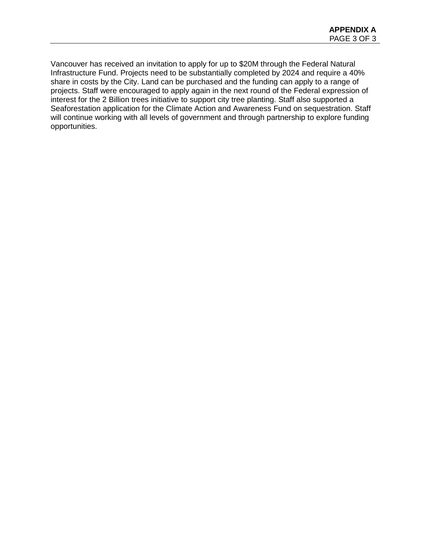Vancouver has received an invitation to apply for up to \$20M through the Federal Natural Infrastructure Fund. Projects need to be substantially completed by 2024 and require a 40% share in costs by the City. Land can be purchased and the funding can apply to a range of projects. Staff were encouraged to apply again in the next round of the Federal expression of interest for the 2 Billion trees initiative to support city tree planting. Staff also supported a Seaforestation application for the Climate Action and Awareness Fund on sequestration. Staff will continue working with all levels of government and through partnership to explore funding opportunities.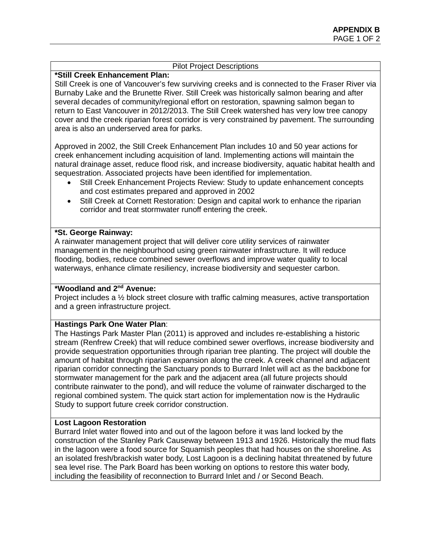### Pilot Project Descriptions

#### **\*Still Creek Enhancement Plan:**

Still Creek is one of Vancouver's few surviving creeks and is connected to the Fraser River via Burnaby Lake and the Brunette River. Still Creek was historically salmon bearing and after several decades of community/regional effort on restoration, spawning salmon began to return to East Vancouver in 2012/2013. The Still Creek watershed has very low tree canopy cover and the creek riparian forest corridor is very constrained by pavement. The surrounding area is also an underserved area for parks.

Approved in 2002, the Still Creek Enhancement Plan includes 10 and 50 year actions for creek enhancement including acquisition of land. Implementing actions will maintain the natural drainage asset, reduce flood risk, and increase biodiversity, aquatic habitat health and sequestration. Associated projects have been identified for implementation.

- Still Creek Enhancement Projects Review: Study to update enhancement concepts and cost estimates prepared and approved in 2002
- Still Creek at Cornett Restoration: Design and capital work to enhance the riparian corridor and treat stormwater runoff entering the creek.

#### **\*St. George Rainway:**

A rainwater management project that will deliver core utility services of rainwater management in the neighbourhood using green rainwater infrastructure. It will reduce flooding, bodies, reduce combined sewer overflows and improve water quality to local waterways, enhance climate resiliency, increase biodiversity and sequester carbon.

#### **\*Woodland and 2nd Avenue:**

Project includes a 1/2 block street closure with traffic calming measures, active transportation and a green infrastructure project.

#### **Hastings Park One Water Plan**:

The Hastings Park Master Plan (2011) is approved and includes re-establishing a historic stream (Renfrew Creek) that will reduce combined sewer overflows, increase biodiversity and provide sequestration opportunities through riparian tree planting. The project will double the amount of habitat through riparian expansion along the creek. A creek channel and adjacent riparian corridor connecting the Sanctuary ponds to Burrard Inlet will act as the backbone for stormwater management for the park and the adjacent area (all future projects should contribute rainwater to the pond), and will reduce the volume of rainwater discharged to the regional combined system. The quick start action for implementation now is the Hydraulic Study to support future creek corridor construction.

#### **Lost Lagoon Restoration**

Burrard Inlet water flowed into and out of the lagoon before it was land locked by the construction of the Stanley Park Causeway between 1913 and 1926. Historically the mud flats in the lagoon were a food source for Squamish peoples that had houses on the shoreline. As an isolated fresh/brackish water body, Lost Lagoon is a declining habitat threatened by future sea level rise. The Park Board has been working on options to restore this water body, including the feasibility of reconnection to Burrard Inlet and / or Second Beach.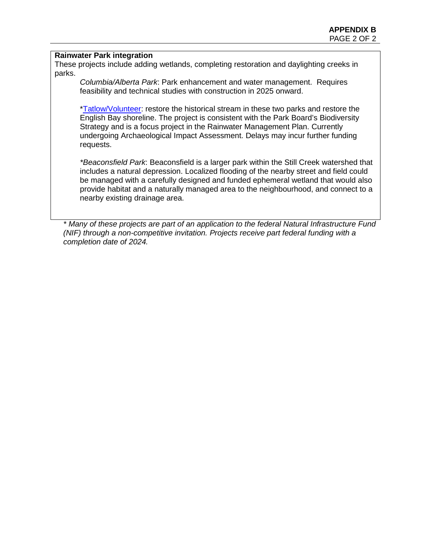#### **Rainwater Park integration**

These projects include adding wetlands, completing restoration and daylighting creeks in parks.

*Columbia/Alberta Park*: Park enhancement and water management. Requires feasibility and technical studies with construction in 2025 onward.

[\\*Tatlow/Volunteer:](https://vancouver.ca/parks-recreation-culture/tatlow-and-volunteer-park-stream-restoration.aspx) restore the historical stream in these two parks and restore the English Bay shoreline. The project is consistent with the Park Board's Biodiversity Strategy and is a focus project in the Rainwater Management Plan. Currently undergoing Archaeological Impact Assessment. Delays may incur further funding requests.

*\*Beaconsfield Park*: Beaconsfield is a larger park within the Still Creek watershed that includes a natural depression. Localized flooding of the nearby street and field could be managed with a carefully designed and funded ephemeral wetland that would also provide habitat and a naturally managed area to the neighbourhood, and connect to a nearby existing drainage area.

*\* Many of these projects are part of an application to the federal Natural Infrastructure Fund (NIF) through a non-competitive invitation. Projects receive part federal funding with a completion date of 2024.*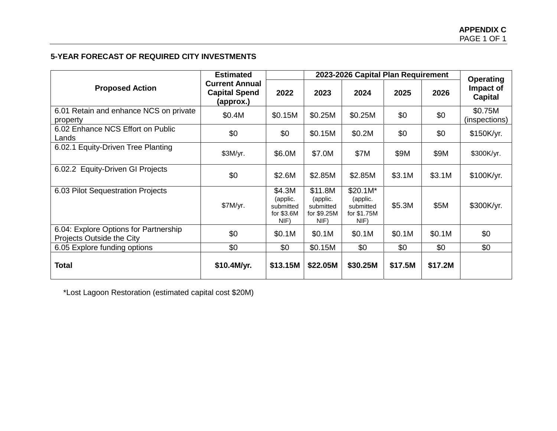# **5-YEAR FORECAST OF REQUIRED CITY INVESTMENTS**

|                                                                    | <b>Estimated</b>                                           | 2023-2026 Capital Plan Requirement                    |                                                        |                                                          |         |         | <b>Operating</b>            |
|--------------------------------------------------------------------|------------------------------------------------------------|-------------------------------------------------------|--------------------------------------------------------|----------------------------------------------------------|---------|---------|-----------------------------|
| <b>Proposed Action</b>                                             | <b>Current Annual</b><br><b>Capital Spend</b><br>(approx.) | 2022                                                  | 2023                                                   | 2024                                                     | 2025    | 2026    | Impact of<br><b>Capital</b> |
| 6.01 Retain and enhance NCS on private<br>property                 | \$0.4M                                                     | \$0.15M                                               | \$0.25M                                                | \$0.25M                                                  | \$0     | \$0     | \$0.75M<br>(inspections)    |
| 6.02 Enhance NCS Effort on Public<br>Lands                         | \$0                                                        | \$0                                                   | \$0.15M                                                | \$0.2M                                                   | \$0     | \$0     | \$150K/yr.                  |
| 6.02.1 Equity-Driven Tree Planting                                 | \$3M/yr.                                                   | \$6.0M                                                | \$7.0M                                                 | \$7M                                                     | \$9M    | \$9M    | \$300K/yr.                  |
| <b>Equity-Driven GI Projects</b><br>6.02.2                         | \$0                                                        | \$2.6M                                                | \$2.85M                                                | \$2.85M                                                  | \$3.1M  | \$3.1M  | \$100K/yr.                  |
| 6.03 Pilot Sequestration Projects                                  | \$7M/yr.                                                   | \$4.3M<br>(applic.<br>submitted<br>for \$3.6M<br>NIF) | \$11.8M<br>(applic.<br>submitted<br>for \$9.25M<br>NIF | $$20.1M*$<br>(applic.<br>submitted<br>for \$1.75M<br>NIF | \$5.3M  | \$5M    | \$300K/yr.                  |
| 6.04: Explore Options for Partnership<br>Projects Outside the City | \$0                                                        | \$0.1M                                                | \$0.1M                                                 | \$0.1M                                                   | \$0.1M  | \$0.1M  | \$0                         |
| 6.05 Explore funding options                                       | \$0                                                        | \$0                                                   | \$0.15M                                                | \$0                                                      | \$0     | \$0     | \$0                         |
| <b>Total</b>                                                       | \$10.4M/yr.                                                | \$13.15M                                              | \$22.05M                                               | \$30.25M                                                 | \$17.5M | \$17.2M |                             |

\*Lost Lagoon Restoration (estimated capital cost \$20M)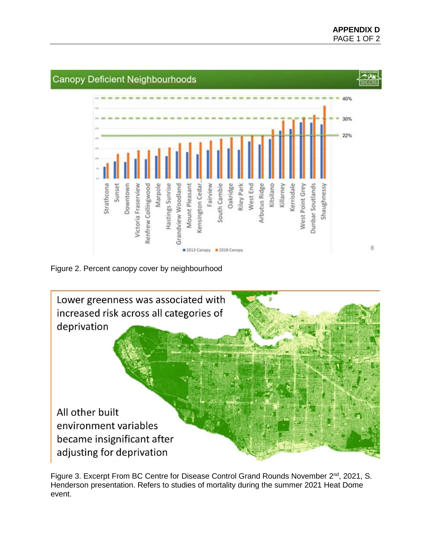

Figure 2. Percent canopy cover by neighbourhood



Figure 3. Excerpt From BC Centre for Disease Control Grand Rounds November 2<sup>nd</sup>, 2021, S. Henderson presentation. Refers to studies of mortality during the summer 2021 Heat Dome event.